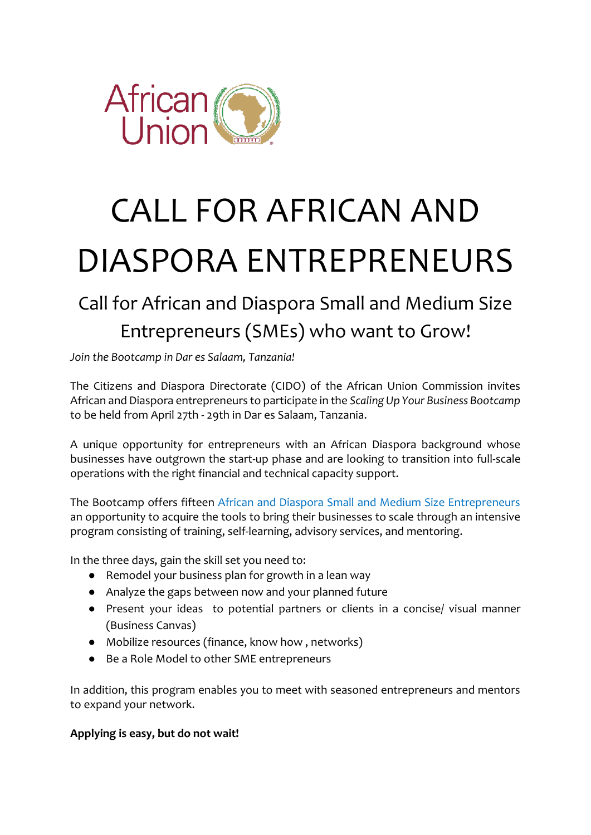

# CALL FOR AFRICAN AND DIASPORA ENTREPRENEURS

## Call for African and Diaspora Small and Medium Size Entrepreneurs (SMEs) who want to Grow!

*Join the Bootcamp in Dar es Salaam, Tanzania!*

The Citizens and Diaspora Directorate (CIDO) of the African Union Commission invites African and Diaspora entrepreneurs to participate in the *Scaling Up Your Business Bootcamp*  to be held from April 27th - 29th in Dar es Salaam, Tanzania.

A unique opportunity for entrepreneurs with an African Diaspora background whose businesses have outgrown the start-up phase and are looking to transition into full-scale operations with the right financial and technical capacity support.

The Bootcamp offers fifteen African and Diaspora Small and Medium Size Entrepreneurs an opportunity to acquire the tools to bring their businesses to scale through an intensive program consisting of training, self-learning, advisory services, and mentoring.

In the three days, gain the skill set you need to:

- Remodel your business plan for growth in a lean way
- Analyze the gaps between now and your planned future
- Present your ideas to potential partners or clients in a concise/ visual manner (Business Canvas)
- Mobilize resources (finance, know how , networks)
- Be a Role Model to other SME entrepreneurs

In addition, this program enables you to meet with seasoned entrepreneurs and mentors to expand your network.

### **Applying is easy, but do not wait!**